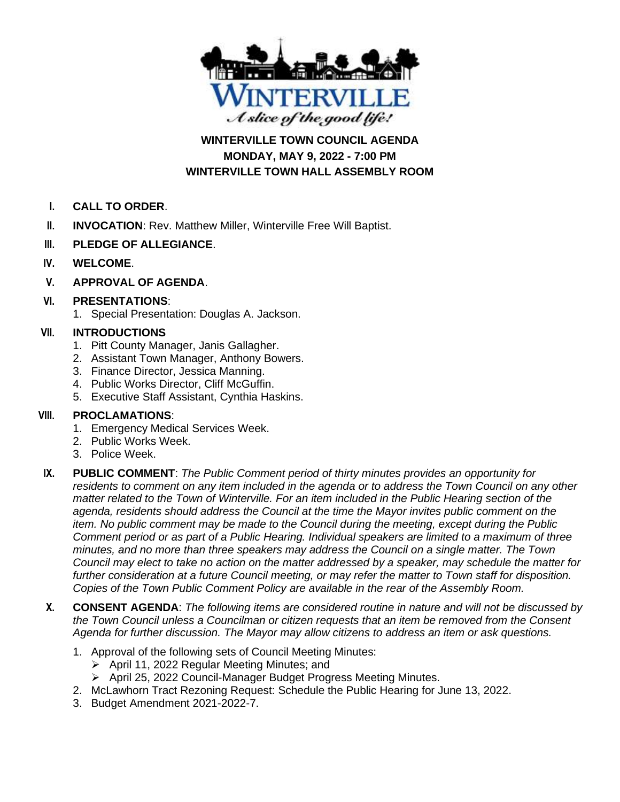

**WINTERVILLE TOWN COUNCIL AGENDA MONDAY, MAY 9, 2022 - 7:00 PM WINTERVILLE TOWN HALL ASSEMBLY ROOM**

- **I. CALL TO ORDER**.
- **II. INVOCATION**: Rev. Matthew Miller, Winterville Free Will Baptist.
- **III. PLEDGE OF ALLEGIANCE**.
- **IV. WELCOME**.
- **V. APPROVAL OF AGENDA**.

# **VI. PRESENTATIONS**:

1. Special Presentation: Douglas A. Jackson.

# **VII. INTRODUCTIONS**

- 1. Pitt County Manager, Janis Gallagher.
- 2. Assistant Town Manager, Anthony Bowers.
- 3. Finance Director, Jessica Manning.
- 4. Public Works Director, Cliff McGuffin.
- 5. Executive Staff Assistant, Cynthia Haskins.

### **VIII. PROCLAMATIONS**:

- 1. Emergency Medical Services Week.
- 2. Public Works Week.
- 3. Police Week.
- **IX. PUBLIC COMMENT**: *The Public Comment period of thirty minutes provides an opportunity for residents to comment on any item included in the agenda or to address the Town Council on any other matter related to the Town of Winterville. For an item included in the Public Hearing section of the agenda, residents should address the Council at the time the Mayor invites public comment on the item. No public comment may be made to the Council during the meeting, except during the Public Comment period or as part of a Public Hearing. Individual speakers are limited to a maximum of three minutes, and no more than three speakers may address the Council on a single matter. The Town Council may elect to take no action on the matter addressed by a speaker, may schedule the matter for further consideration at a future Council meeting, or may refer the matter to Town staff for disposition. Copies of the Town Public Comment Policy are available in the rear of the Assembly Room.*
- **X. CONSENT AGENDA**: *The following items are considered routine in nature and will not be discussed by the Town Council unless a Councilman or citizen requests that an item be removed from the Consent Agenda for further discussion. The Mayor may allow citizens to address an item or ask questions.*
	- 1. Approval of the following sets of Council Meeting Minutes:
		- ➢ April 11, 2022 Regular Meeting Minutes; and
		- ➢ April 25, 2022 Council-Manager Budget Progress Meeting Minutes.
	- 2. McLawhorn Tract Rezoning Request: Schedule the Public Hearing for June 13, 2022.
	- 3. Budget Amendment 2021-2022-7.